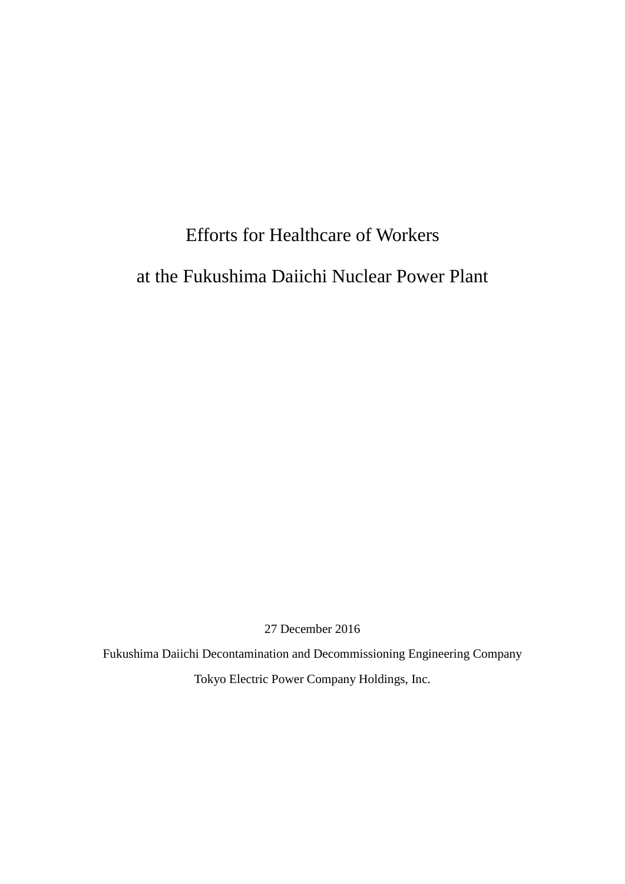# Efforts for Healthcare of Workers at the Fukushima Daiichi Nuclear Power Plant

27 December 2016

Fukushima Daiichi Decontamination and Decommissioning Engineering Company Tokyo Electric Power Company Holdings, Inc.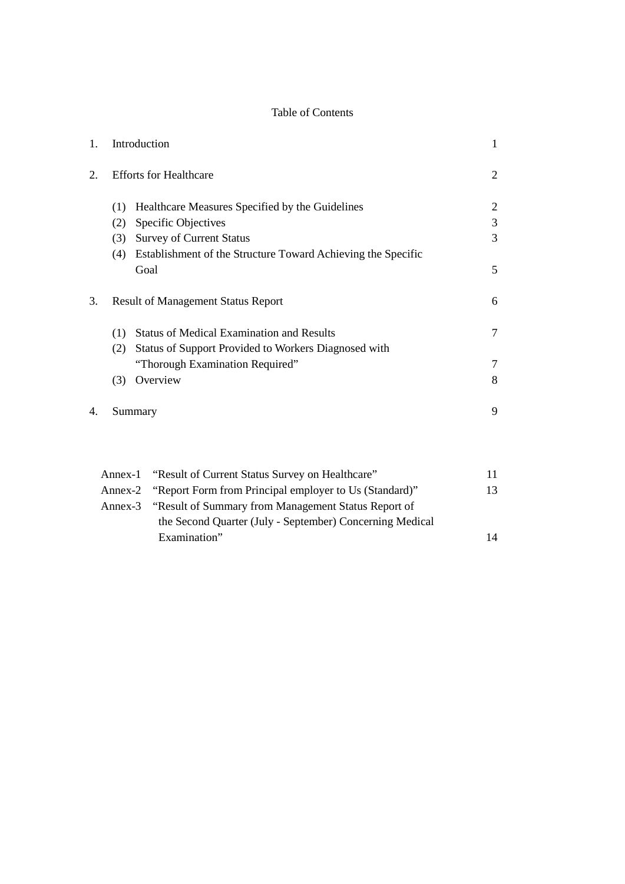## Table of Contents

| 1. | Introduction                                                                | 1  |  |  |  |
|----|-----------------------------------------------------------------------------|----|--|--|--|
| 2. | <b>Efforts for Healthcare</b>                                               |    |  |  |  |
|    | Healthcare Measures Specified by the Guidelines<br>(1)                      | 2  |  |  |  |
|    | <b>Specific Objectives</b><br>(2)                                           | 3  |  |  |  |
|    | <b>Survey of Current Status</b><br>(3)                                      | 3  |  |  |  |
|    | Establishment of the Structure Toward Achieving the Specific<br>(4)<br>Goal | 5  |  |  |  |
| 3. | <b>Result of Management Status Report</b>                                   | 6  |  |  |  |
|    | <b>Status of Medical Examination and Results</b><br>(1)                     | 7  |  |  |  |
|    | Status of Support Provided to Workers Diagnosed with<br>(2)                 |    |  |  |  |
|    | "Thorough Examination Required"                                             | 7  |  |  |  |
|    | Overview<br>(3)                                                             | 8  |  |  |  |
| 4. | Summary                                                                     | 9  |  |  |  |
|    |                                                                             |    |  |  |  |
|    | "Result of Current Status Survey on Healthcare"<br>Annex-1                  | 11 |  |  |  |
|    | "Report Form from Principal employer to Us (Standard)"<br>Annex-2           | 13 |  |  |  |
|    | "Result of Summary from Management Status Report of<br>Annex-3              |    |  |  |  |
|    | the Second Quarter (July - September) Concerning Medical                    |    |  |  |  |
|    | Examination"                                                                | 14 |  |  |  |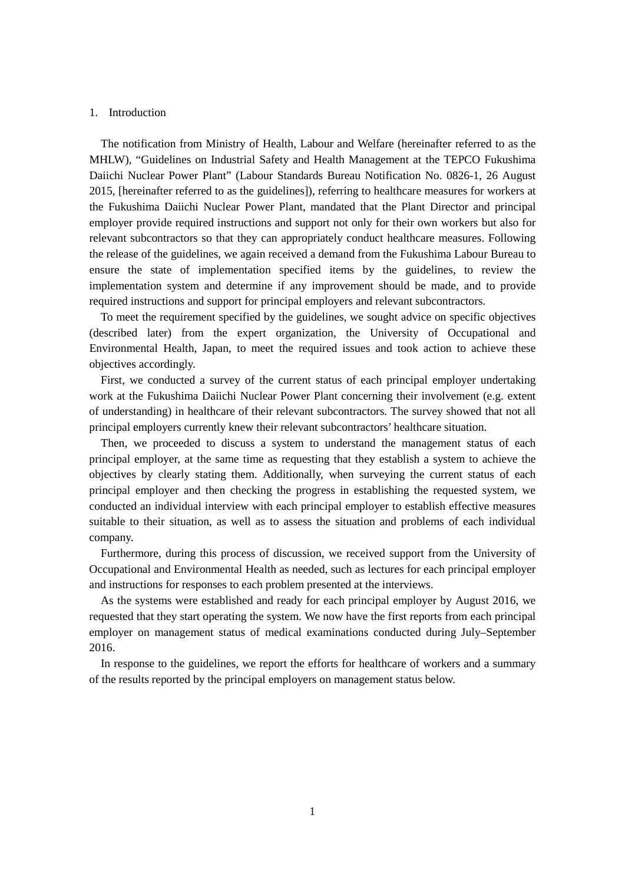#### 1. Introduction

The notification from Ministry of Health, Labour and Welfare (hereinafter referred to as the MHLW), "Guidelines on Industrial Safety and Health Management at the TEPCO Fukushima Daiichi Nuclear Power Plant" (Labour Standards Bureau Notification No. 0826-1, 26 August 2015, [hereinafter referred to as the guidelines]), referring to healthcare measures for workers at the Fukushima Daiichi Nuclear Power Plant, mandated that the Plant Director and principal employer provide required instructions and support not only for their own workers but also for relevant subcontractors so that they can appropriately conduct healthcare measures. Following the release of the guidelines, we again received a demand from the Fukushima Labour Bureau to ensure the state of implementation specified items by the guidelines, to review the implementation system and determine if any improvement should be made, and to provide required instructions and support for principal employers and relevant subcontractors.

To meet the requirement specified by the guidelines, we sought advice on specific objectives (described later) from the expert organization, the University of Occupational and Environmental Health, Japan, to meet the required issues and took action to achieve these objectives accordingly.

First, we conducted a survey of the current status of each principal employer undertaking work at the Fukushima Daiichi Nuclear Power Plant concerning their involvement (e.g. extent of understanding) in healthcare of their relevant subcontractors. The survey showed that not all principal employers currently knew their relevant subcontractors' healthcare situation.

Then, we proceeded to discuss a system to understand the management status of each principal employer, at the same time as requesting that they establish a system to achieve the objectives by clearly stating them. Additionally, when surveying the current status of each principal employer and then checking the progress in establishing the requested system, we conducted an individual interview with each principal employer to establish effective measures suitable to their situation, as well as to assess the situation and problems of each individual company.

Furthermore, during this process of discussion, we received support from the University of Occupational and Environmental Health as needed, such as lectures for each principal employer and instructions for responses to each problem presented at the interviews.

As the systems were established and ready for each principal employer by August 2016, we requested that they start operating the system. We now have the first reports from each principal employer on management status of medical examinations conducted during July–September 2016.

In response to the guidelines, we report the efforts for healthcare of workers and a summary of the results reported by the principal employers on management status below.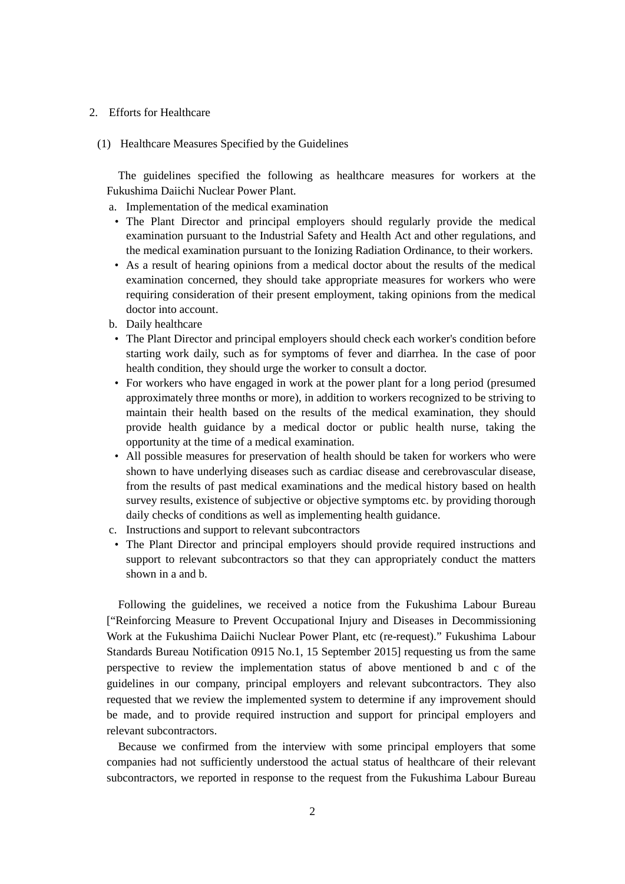- 2. Efforts for Healthcare
	- (1) Healthcare Measures Specified by the Guidelines

The guidelines specified the following as healthcare measures for workers at the Fukushima Daiichi Nuclear Power Plant.

- a. Implementation of the medical examination
- The Plant Director and principal employers should regularly provide the medical examination pursuant to the Industrial Safety and Health Act and other regulations, and the medical examination pursuant to the Ionizing Radiation Ordinance, to their workers.
- As a result of hearing opinions from a medical doctor about the results of the medical examination concerned, they should take appropriate measures for workers who were requiring consideration of their present employment, taking opinions from the medical doctor into account.
- b. Daily healthcare
- The Plant Director and principal employers should check each worker's condition before starting work daily, such as for symptoms of fever and diarrhea. In the case of poor health condition, they should urge the worker to consult a doctor.
- For workers who have engaged in work at the power plant for a long period (presumed approximately three months or more), in addition to workers recognized to be striving to maintain their health based on the results of the medical examination, they should provide health guidance by a medical doctor or public health nurse, taking the opportunity at the time of a medical examination.
- All possible measures for preservation of health should be taken for workers who were shown to have underlying diseases such as cardiac disease and cerebrovascular disease, from the results of past medical examinations and the medical history based on health survey results, existence of subjective or objective symptoms etc. by providing thorough daily checks of conditions as well as implementing health guidance.
- c. Instructions and support to relevant subcontractors
- The Plant Director and principal employers should provide required instructions and support to relevant subcontractors so that they can appropriately conduct the matters shown in a and b.

Following the guidelines, we received a notice from the Fukushima Labour Bureau ["Reinforcing Measure to Prevent Occupational Injury and Diseases in Decommissioning Work at the Fukushima Daiichi Nuclear Power Plant, etc (re-request)." Fukushima Labour Standards Bureau Notification 0915 No.1, 15 September 2015] requesting us from the same perspective to review the implementation status of above mentioned b and c of the guidelines in our company, principal employers and relevant subcontractors. They also requested that we review the implemented system to determine if any improvement should be made, and to provide required instruction and support for principal employers and relevant subcontractors.

Because we confirmed from the interview with some principal employers that some companies had not sufficiently understood the actual status of healthcare of their relevant subcontractors, we reported in response to the request from the Fukushima Labour Bureau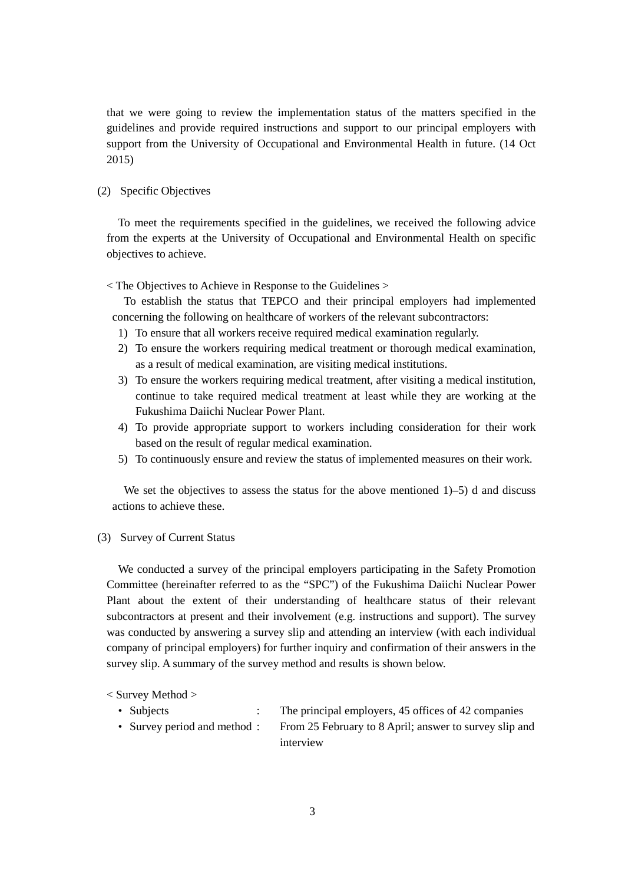that we were going to review the implementation status of the matters specified in the guidelines and provide required instructions and support to our principal employers with support from the University of Occupational and Environmental Health in future. (14 Oct 2015)

#### (2) Specific Objectives

To meet the requirements specified in the guidelines, we received the following advice from the experts at the University of Occupational and Environmental Health on specific objectives to achieve.

< The Objectives to Achieve in Response to the Guidelines >

To establish the status that TEPCO and their principal employers had implemented concerning the following on healthcare of workers of the relevant subcontractors:

- 1) To ensure that all workers receive required medical examination regularly.
- 2) To ensure the workers requiring medical treatment or thorough medical examination, as a result of medical examination, are visiting medical institutions.
- 3) To ensure the workers requiring medical treatment, after visiting a medical institution, continue to take required medical treatment at least while they are working at the Fukushima Daiichi Nuclear Power Plant.
- 4) To provide appropriate support to workers including consideration for their work based on the result of regular medical examination.
- 5) To continuously ensure and review the status of implemented measures on their work.

We set the objectives to assess the status for the above mentioned  $1$ –5) d and discuss actions to achieve these.

#### (3) Survey of Current Status

We conducted a survey of the principal employers participating in the Safety Promotion Committee (hereinafter referred to as the "SPC") of the Fukushima Daiichi Nuclear Power Plant about the extent of their understanding of healthcare status of their relevant subcontractors at present and their involvement (e.g. instructions and support). The survey was conducted by answering a survey slip and attending an interview (with each individual company of principal employers) for further inquiry and confirmation of their answers in the survey slip. A summary of the survey method and results is shown below.

< Survey Method >

- 
- Subjects : The principal employers, 45 offices of 42 companies
- Survey period and method : From 25 February to 8 April; answer to survey slip and interview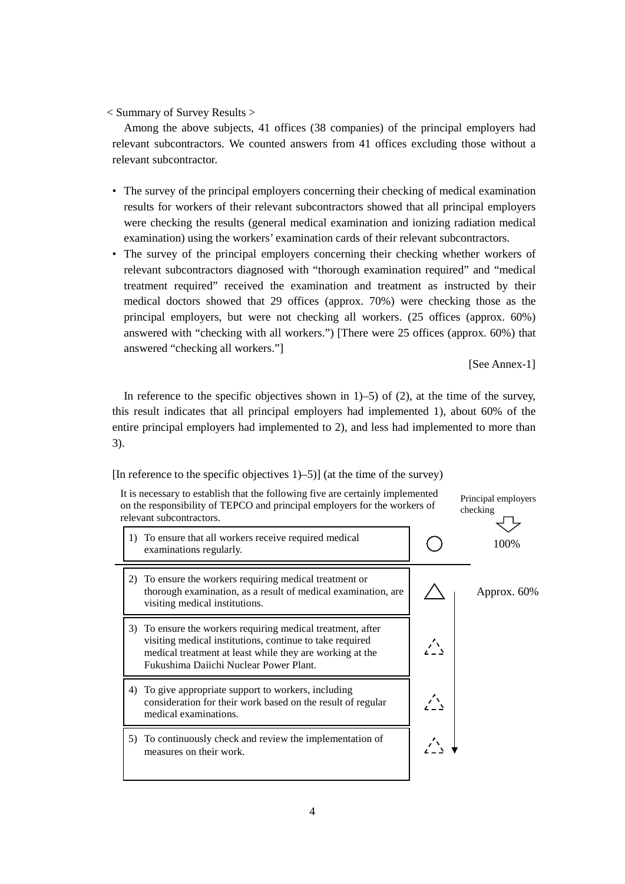< Summary of Survey Results >

Among the above subjects, 41 offices (38 companies) of the principal employers had relevant subcontractors. We counted answers from 41 offices excluding those without a relevant subcontractor.

- The survey of the principal employers concerning their checking of medical examination results for workers of their relevant subcontractors showed that all principal employers were checking the results (general medical examination and ionizing radiation medical examination) using the workers' examination cards of their relevant subcontractors.
- The survey of the principal employers concerning their checking whether workers of relevant subcontractors diagnosed with "thorough examination required" and "medical treatment required" received the examination and treatment as instructed by their medical doctors showed that 29 offices (approx. 70%) were checking those as the principal employers, but were not checking all workers. (25 offices (approx. 60%) answered with "checking with all workers.") [There were 25 offices (approx. 60%) that answered "checking all workers."]

[See Annex-1]

In reference to the specific objectives shown in  $1$ –5) of (2), at the time of the survey, this result indicates that all principal employers had implemented 1), about 60% of the entire principal employers had implemented to 2), and less had implemented to more than 3).

[In reference to the specific objectives 1)–5)] (at the time of the survey)



4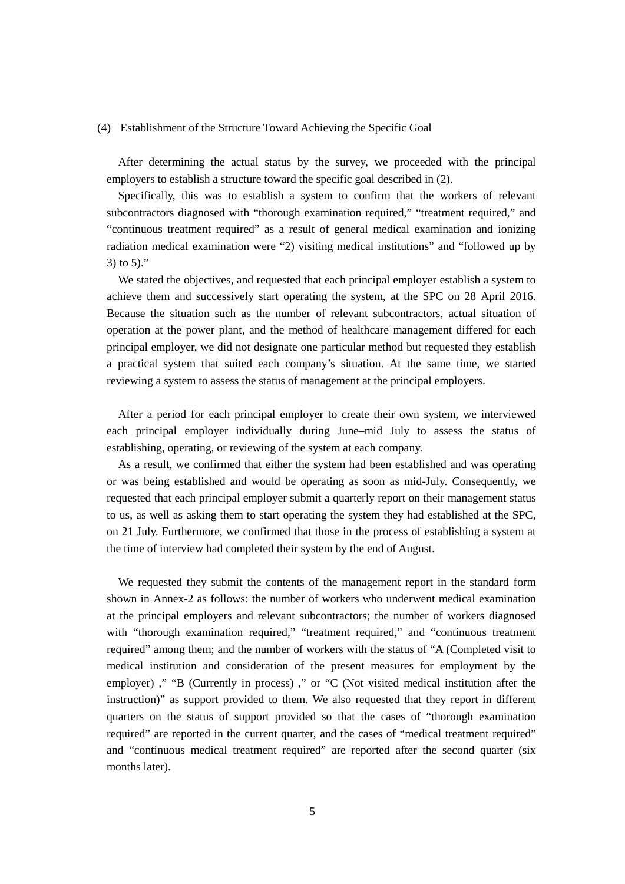#### (4) Establishment of the Structure Toward Achieving the Specific Goal

After determining the actual status by the survey, we proceeded with the principal employers to establish a structure toward the specific goal described in (2).

Specifically, this was to establish a system to confirm that the workers of relevant subcontractors diagnosed with "thorough examination required," "treatment required," and "continuous treatment required" as a result of general medical examination and ionizing radiation medical examination were "2) visiting medical institutions" and "followed up by 3) to 5)."

We stated the objectives, and requested that each principal employer establish a system to achieve them and successively start operating the system, at the SPC on 28 April 2016. Because the situation such as the number of relevant subcontractors, actual situation of operation at the power plant, and the method of healthcare management differed for each principal employer, we did not designate one particular method but requested they establish a practical system that suited each company's situation. At the same time, we started reviewing a system to assess the status of management at the principal employers.

After a period for each principal employer to create their own system, we interviewed each principal employer individually during June–mid July to assess the status of establishing, operating, or reviewing of the system at each company.

As a result, we confirmed that either the system had been established and was operating or was being established and would be operating as soon as mid-July. Consequently, we requested that each principal employer submit a quarterly report on their management status to us, as well as asking them to start operating the system they had established at the SPC, on 21 July. Furthermore, we confirmed that those in the process of establishing a system at the time of interview had completed their system by the end of August.

We requested they submit the contents of the management report in the standard form shown in Annex-2 as follows: the number of workers who underwent medical examination at the principal employers and relevant subcontractors; the number of workers diagnosed with "thorough examination required," "treatment required," and "continuous treatment required" among them; and the number of workers with the status of "A (Completed visit to medical institution and consideration of the present measures for employment by the employer) ," "B (Currently in process) ," or "C (Not visited medical institution after the instruction)" as support provided to them. We also requested that they report in different quarters on the status of support provided so that the cases of "thorough examination required" are reported in the current quarter, and the cases of "medical treatment required" and "continuous medical treatment required" are reported after the second quarter (six months later).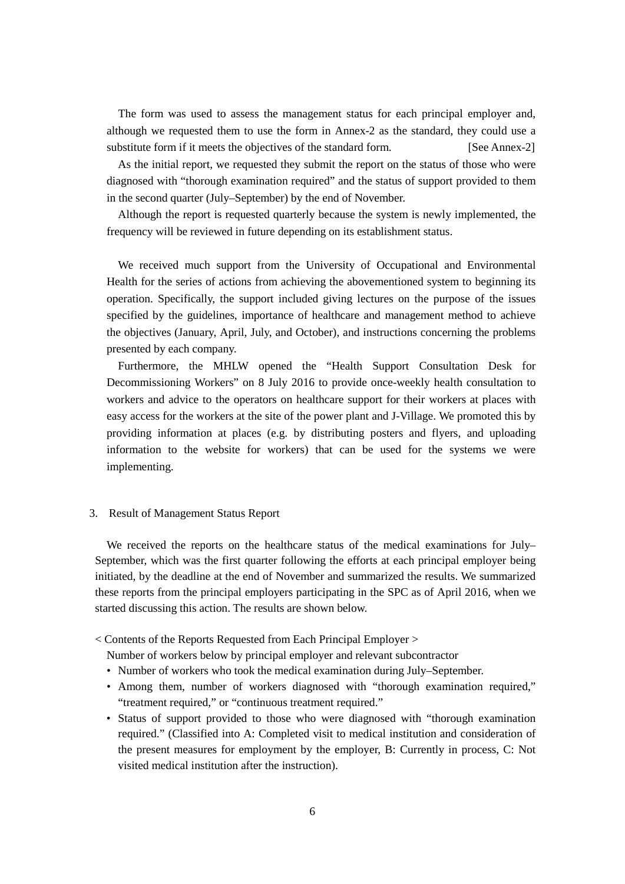The form was used to assess the management status for each principal employer and, although we requested them to use the form in Annex-2 as the standard, they could use a substitute form if it meets the objectives of the standard form. [See Annex-2]

As the initial report, we requested they submit the report on the status of those who were diagnosed with "thorough examination required" and the status of support provided to them in the second quarter (July–September) by the end of November.

Although the report is requested quarterly because the system is newly implemented, the frequency will be reviewed in future depending on its establishment status.

We received much support from the University of Occupational and Environmental Health for the series of actions from achieving the abovementioned system to beginning its operation. Specifically, the support included giving lectures on the purpose of the issues specified by the guidelines, importance of healthcare and management method to achieve the objectives (January, April, July, and October), and instructions concerning the problems presented by each company.

Furthermore, the MHLW opened the "Health Support Consultation Desk for Decommissioning Workers" on 8 July 2016 to provide once-weekly health consultation to workers and advice to the operators on healthcare support for their workers at places with easy access for the workers at the site of the power plant and J-Village. We promoted this by providing information at places (e.g. by distributing posters and flyers, and uploading information to the website for workers) that can be used for the systems we were implementing.

#### 3. Result of Management Status Report

We received the reports on the healthcare status of the medical examinations for July– September, which was the first quarter following the efforts at each principal employer being initiated, by the deadline at the end of November and summarized the results. We summarized these reports from the principal employers participating in the SPC as of April 2016, when we started discussing this action. The results are shown below.

< Contents of the Reports Requested from Each Principal Employer >

Number of workers below by principal employer and relevant subcontractor

- Number of workers who took the medical examination during July–September.
- Among them, number of workers diagnosed with "thorough examination required," "treatment required," or "continuous treatment required."
- Status of support provided to those who were diagnosed with "thorough examination required." (Classified into A: Completed visit to medical institution and consideration of the present measures for employment by the employer, B: Currently in process, C: Not visited medical institution after the instruction).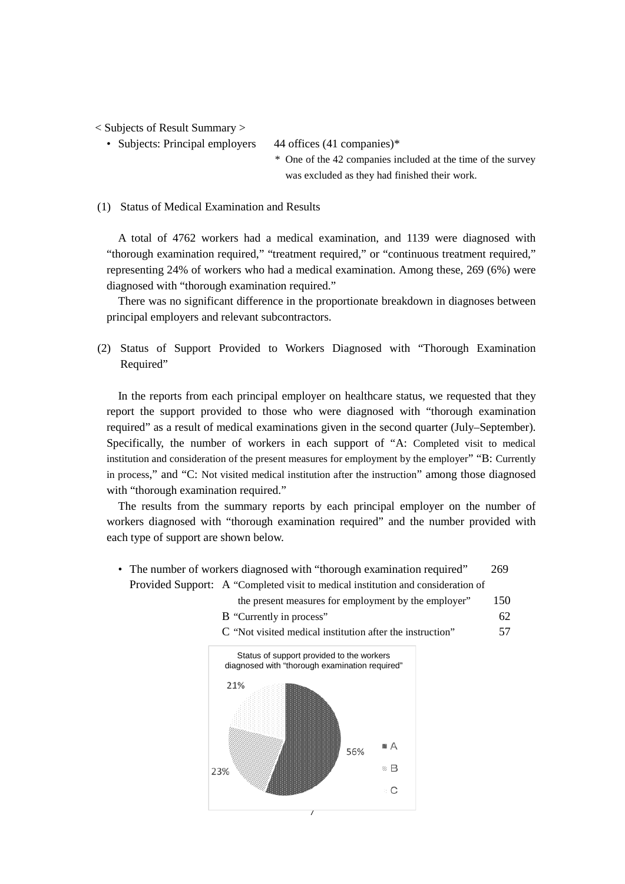< Subjects of Result Summary >

• Subjects: Principal employers 44 offices (41 companies)\*

\* One of the 42 companies included at the time of the survey was excluded as they had finished their work.

#### (1) Status of Medical Examination and Results

A total of 4762 workers had a medical examination, and 1139 were diagnosed with "thorough examination required," "treatment required," or "continuous treatment required," representing 24% of workers who had a medical examination. Among these, 269 (6%) were diagnosed with "thorough examination required."

There was no significant difference in the proportionate breakdown in diagnoses between principal employers and relevant subcontractors.

(2) Status of Support Provided to Workers Diagnosed with "Thorough Examination Required"

In the reports from each principal employer on healthcare status, we requested that they report the support provided to those who were diagnosed with "thorough examination required" as a result of medical examinations given in the second quarter (July–September). Specifically, the number of workers in each support of "A: Completed visit to medical institution and consideration of the present measures for employment by the employer" "B: Currently in process," and "C: Not visited medical institution after the instruction" among those diagnosed with "thorough examination required."

The results from the summary reports by each principal employer on the number of workers diagnosed with "thorough examination required" and the number provided with each type of support are shown below.

- The number of workers diagnosed with "thorough examination required" 269 Provided Support: A "Completed visit to medical institution and consideration of
	- the present measures for employment by the employer" 150
	- B "Currently in process" 62
	- C "Not visited medical institution after the instruction" 57

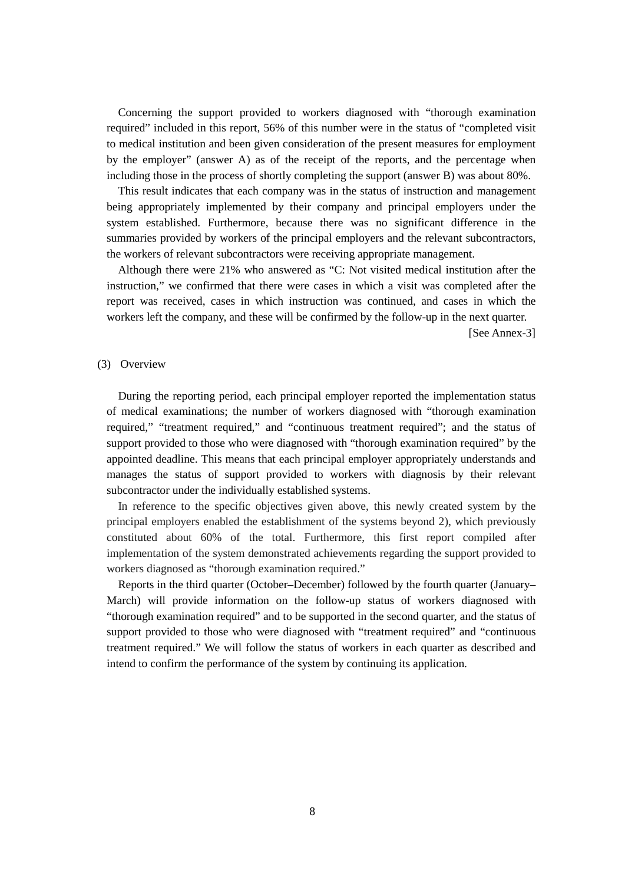Concerning the support provided to workers diagnosed with "thorough examination required" included in this report, 56% of this number were in the status of "completed visit to medical institution and been given consideration of the present measures for employment by the employer" (answer A) as of the receipt of the reports, and the percentage when including those in the process of shortly completing the support (answer B) was about 80%.

This result indicates that each company was in the status of instruction and management being appropriately implemented by their company and principal employers under the system established. Furthermore, because there was no significant difference in the summaries provided by workers of the principal employers and the relevant subcontractors, the workers of relevant subcontractors were receiving appropriate management.

Although there were 21% who answered as "C: Not visited medical institution after the instruction," we confirmed that there were cases in which a visit was completed after the report was received, cases in which instruction was continued, and cases in which the workers left the company, and these will be confirmed by the follow-up in the next quarter.

[See Annex-3]

#### (3) Overview

During the reporting period, each principal employer reported the implementation status of medical examinations; the number of workers diagnosed with "thorough examination required," "treatment required," and "continuous treatment required"; and the status of support provided to those who were diagnosed with "thorough examination required" by the appointed deadline. This means that each principal employer appropriately understands and manages the status of support provided to workers with diagnosis by their relevant subcontractor under the individually established systems.

In reference to the specific objectives given above, this newly created system by the principal employers enabled the establishment of the systems beyond 2), which previously constituted about 60% of the total. Furthermore, this first report compiled after implementation of the system demonstrated achievements regarding the support provided to workers diagnosed as "thorough examination required."

Reports in the third quarter (October–December) followed by the fourth quarter (January– March) will provide information on the follow-up status of workers diagnosed with "thorough examination required" and to be supported in the second quarter, and the status of support provided to those who were diagnosed with "treatment required" and "continuous treatment required." We will follow the status of workers in each quarter as described and intend to confirm the performance of the system by continuing its application.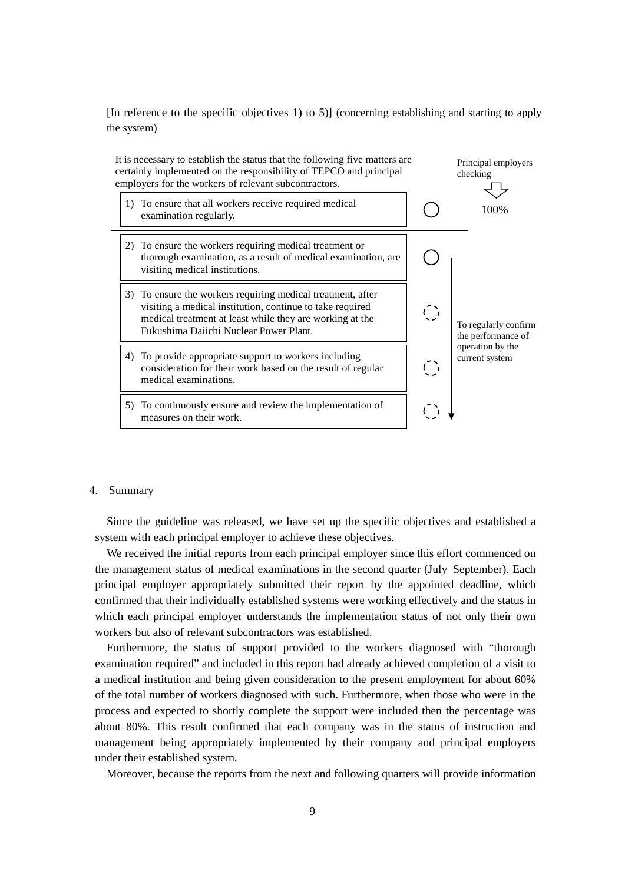[In reference to the specific objectives 1) to 5)] (concerning establishing and starting to apply the system)



#### 4. Summary

Since the guideline was released, we have set up the specific objectives and established a system with each principal employer to achieve these objectives.

We received the initial reports from each principal employer since this effort commenced on the management status of medical examinations in the second quarter (July–September). Each principal employer appropriately submitted their report by the appointed deadline, which confirmed that their individually established systems were working effectively and the status in which each principal employer understands the implementation status of not only their own workers but also of relevant subcontractors was established.

Furthermore, the status of support provided to the workers diagnosed with "thorough examination required" and included in this report had already achieved completion of a visit to a medical institution and being given consideration to the present employment for about 60% of the total number of workers diagnosed with such. Furthermore, when those who were in the process and expected to shortly complete the support were included then the percentage was about 80%. This result confirmed that each company was in the status of instruction and management being appropriately implemented by their company and principal employers under their established system.

Moreover, because the reports from the next and following quarters will provide information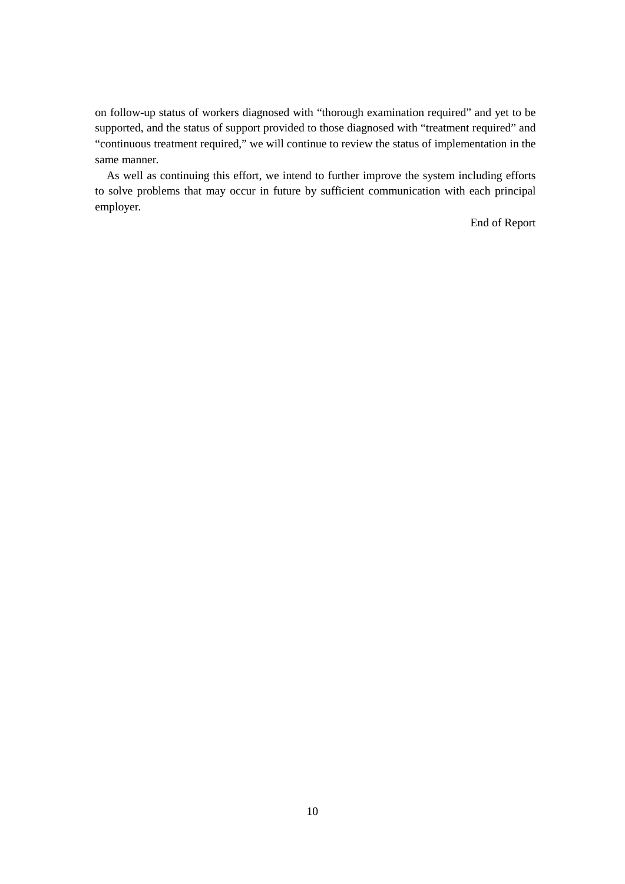on follow-up status of workers diagnosed with "thorough examination required" and yet to be supported, and the status of support provided to those diagnosed with "treatment required" and "continuous treatment required," we will continue to review the status of implementation in the same manner.

As well as continuing this effort, we intend to further improve the system including efforts to solve problems that may occur in future by sufficient communication with each principal employer.

End of Report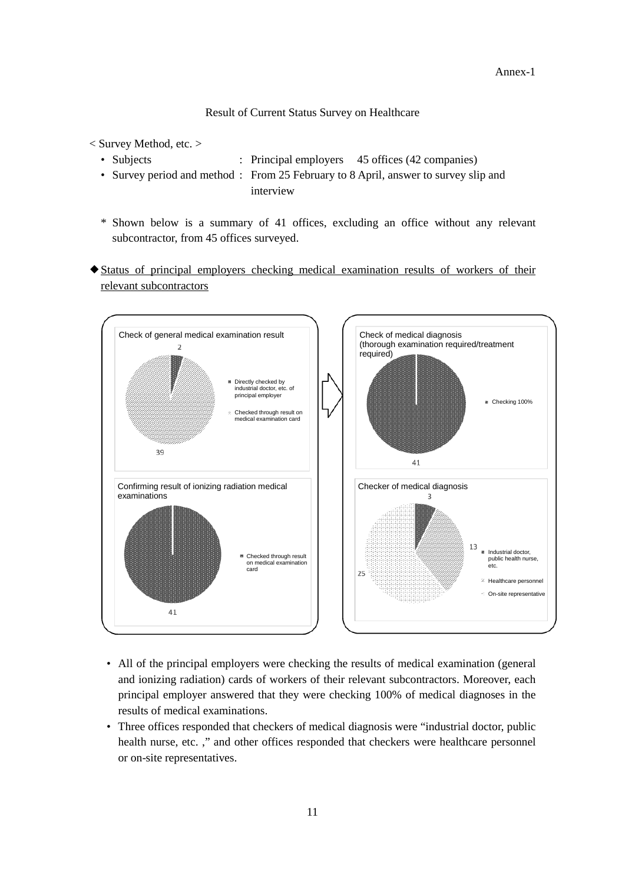Result of Current Status Survey on Healthcare

- < Survey Method, etc. >
	- Subjects : Principal employers 45 offices (42 companies)
	- Survey period and method : From 25 February to 8 April, answer to survey slip and interview
	- \* Shown below is a summary of 41 offices, excluding an office without any relevant subcontractor, from 45 offices surveyed.
- Status of principal employers checking medical examination results of workers of their relevant subcontractors



- All of the principal employers were checking the results of medical examination (general and ionizing radiation) cards of workers of their relevant subcontractors. Moreover, each principal employer answered that they were checking 100% of medical diagnoses in the results of medical examinations.
- Three offices responded that checkers of medical diagnosis were "industrial doctor, public health nurse, etc. ," and other offices responded that checkers were healthcare personnel or on-site representatives.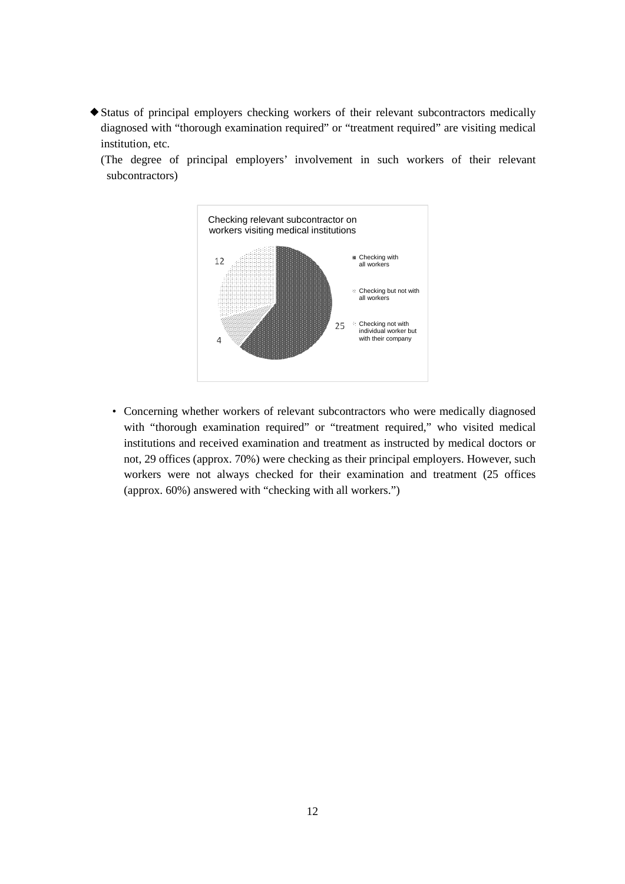Status of principal employers checking workers of their relevant subcontractors medically diagnosed with "thorough examination required" or "treatment required" are visiting medical institution, etc.

(The degree of principal employers' involvement in such workers of their relevant subcontractors)



• Concerning whether workers of relevant subcontractors who were medically diagnosed with "thorough examination required" or "treatment required," who visited medical institutions and received examination and treatment as instructed by medical doctors or not, 29 offices (approx. 70%) were checking as their principal employers. However, such workers were not always checked for their examination and treatment (25 offices (approx. 60%) answered with "checking with all workers.")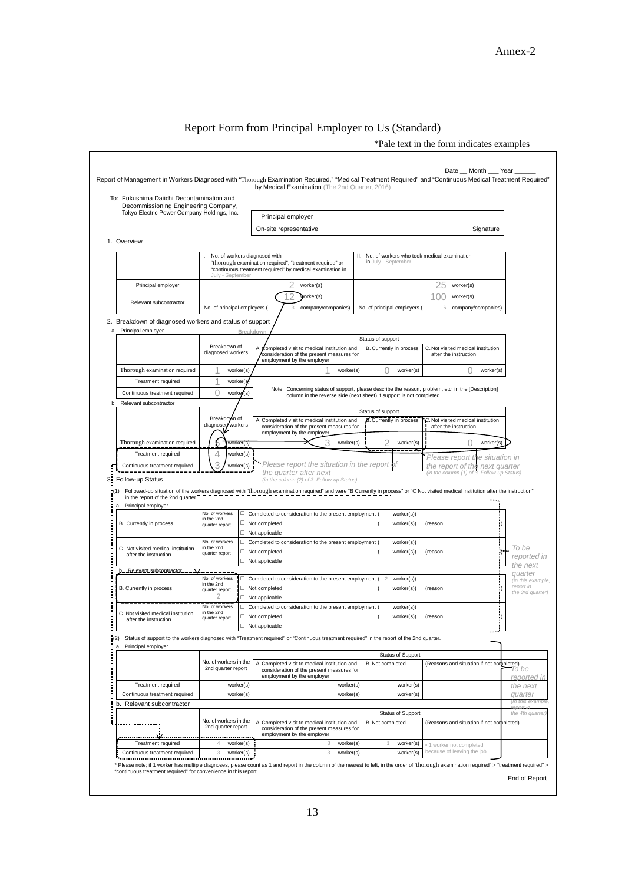## Report Form from Principal Employer to Us (Standard)

\*Pale text in the form indicates examples

|                                                                                   |                                                         | by Medical Examination (The 2nd Quarter, 2016)                                                                                                                                     |           |                     |                              |                                                                                                                 |                                |
|-----------------------------------------------------------------------------------|---------------------------------------------------------|------------------------------------------------------------------------------------------------------------------------------------------------------------------------------------|-----------|---------------------|------------------------------|-----------------------------------------------------------------------------------------------------------------|--------------------------------|
| To: Fukushima Daiichi Decontamination and<br>Decommissioning Engineering Company, |                                                         |                                                                                                                                                                                    |           |                     |                              |                                                                                                                 |                                |
| Tokyo Electric Power Company Holdings, Inc.                                       |                                                         | Principal employer                                                                                                                                                                 |           |                     |                              |                                                                                                                 |                                |
|                                                                                   |                                                         | On-site representative                                                                                                                                                             |           |                     |                              |                                                                                                                 | Signature                      |
| 1. Overview                                                                       |                                                         |                                                                                                                                                                                    |           |                     |                              |                                                                                                                 |                                |
|                                                                                   | No. of workers diagnosed with<br>I.<br>July - September | "thorough examination required", "treatment required" or<br>"continuous treatment required" by medical examination in                                                              | Ш.        | in July - September |                              | No. of workers who took medical examination                                                                     |                                |
| Principal employer                                                                |                                                         | worker(s)                                                                                                                                                                          |           |                     |                              | 25<br>worker(s)                                                                                                 |                                |
|                                                                                   |                                                         | worker(s)<br>2                                                                                                                                                                     |           |                     |                              | 100<br>worker(s)                                                                                                |                                |
| Relevant subcontractor                                                            | No. of principal employers (                            | 3<br>company/companies)                                                                                                                                                            |           |                     | No. of principal employers ( | 6                                                                                                               | company/companies)             |
| 2. Breakdown of diagnosed workers and status of support                           |                                                         |                                                                                                                                                                                    |           |                     |                              |                                                                                                                 |                                |
| Principal employer<br>a.                                                          |                                                         | Breakdown                                                                                                                                                                          |           | Status of support   |                              |                                                                                                                 |                                |
|                                                                                   | Breakdown of                                            | Completed visit to medical institution and<br>А                                                                                                                                    |           |                     | B. Currently in process      | C. Not visited medical institution                                                                              |                                |
|                                                                                   | diagnosed workers                                       | consideration of the present measures for<br>employment by the employer                                                                                                            |           |                     |                              | after the instruction                                                                                           |                                |
| Thorough examination required                                                     | worker(s)                                               |                                                                                                                                                                                    | worker(s) | Ω                   | worker(s)                    | 0                                                                                                               | worker(s)                      |
| Treatment required                                                                | worker(s                                                |                                                                                                                                                                                    |           |                     |                              |                                                                                                                 |                                |
| Continuous treatment required                                                     | 0<br>worker(s)                                          | Note: Concerning status of support, please describe the reason, problem, etc. in the [Description]<br>column in the reverse side (next sheet) if support is not completed.         |           |                     |                              |                                                                                                                 |                                |
| Relevant subcontractor<br>b.                                                      |                                                         |                                                                                                                                                                                    |           |                     |                              |                                                                                                                 |                                |
|                                                                                   | Breakdown of<br>diagnosed<br>workers                    | A. Completed visit to medical institution and<br>consideration of the present measures for<br>employment by the employer                                                           |           | Status of support   | B. Currently in process      | C. Not visited medical institution<br>after the instruction                                                     |                                |
| Thorough examination required                                                     | worker(s                                                | З                                                                                                                                                                                  | worker(s) | 2                   | worker(s)                    | O                                                                                                               | worker(s)                      |
| Treatment required                                                                | 4<br>worker(s)                                          |                                                                                                                                                                                    |           |                     | ---- <del>-</del>            |                                                                                                                 |                                |
|                                                                                   |                                                         |                                                                                                                                                                                    |           |                     |                              |                                                                                                                 |                                |
| Continuous treatment required<br>3: Follow-up Status                              | 3<br>worker(s)                                          | Please report the situation in the repon<br>the quarter after next<br>(in the column (2) of 3. Follow-up Status).                                                                  |           |                     |                              | Please report the situation in<br>the report of the next quarter<br>(in the column (1) of 3. Follow-up Status). |                                |
| in the report of the 2nd quarter.<br>Principal employer                           |                                                         | Followed-up situation of the workers diagnosed with "thorough examination required" and were "B Currently in process" or "C Not visited medical institution after the instruction" |           |                     |                              |                                                                                                                 |                                |
|                                                                                   | No. of workers<br>in the 2nd                            | $\Box$ Completed to consideration to the present employment (                                                                                                                      |           |                     | worker(s))                   |                                                                                                                 |                                |
| B. Currently in process                                                           | quarter report                                          | $\Box$ Not completed<br>$\Box$ Not applicable                                                                                                                                      |           |                     | worker(s))                   | (reason                                                                                                         |                                |
|                                                                                   | No. of workers                                          | $\Box$ Completed to consideration to the present employment (                                                                                                                      |           |                     | worker(s))                   |                                                                                                                 |                                |
| C. Not visited medical institution<br>after the instruction                       | in the 2nd<br>quarter report                            | □ Not completed                                                                                                                                                                    |           |                     | worker(s))                   | (reason                                                                                                         | To be<br>reported in           |
|                                                                                   |                                                         | $\Box$ Not applicable                                                                                                                                                              |           |                     |                              |                                                                                                                 | the next                       |
| Relevant subcontractor                                                            | No. of workers                                          | $\Box$ Completed to consideration to the present employment (                                                                                                                      |           |                     | worker(s))                   |                                                                                                                 | quarter                        |
| B. Currently in process                                                           | in the 2nd<br>quarter report                            | □ Not completed                                                                                                                                                                    |           |                     | worker(s))                   | (reason                                                                                                         | (in this example,<br>report in |
|                                                                                   | 2                                                       | $\Box$ Not applicable                                                                                                                                                              |           |                     |                              |                                                                                                                 | the 3rd quarter)               |
| C. Not visited medical institution                                                | No. of workers<br>in the 2nd                            | $\Box$ Completed to consideration to the present employment (                                                                                                                      |           |                     | worker(s))                   |                                                                                                                 |                                |
| after the instruction                                                             | quarter report                                          | $\Box$ Not completed<br>$\Box$ Not applicable                                                                                                                                      |           |                     | worker(s))                   | (reason                                                                                                         | F                              |
|                                                                                   |                                                         |                                                                                                                                                                                    |           |                     |                              |                                                                                                                 |                                |
| (2)<br>Principal employer                                                         |                                                         | Status of support to the workers diagnosed with "Treatment required" or "Continuous treatment required" in the report of the 2nd quarter.                                          |           |                     |                              |                                                                                                                 |                                |
|                                                                                   |                                                         |                                                                                                                                                                                    |           |                     | <b>Status of Support</b>     |                                                                                                                 |                                |
|                                                                                   | No. of workers in the<br>2nd quarter report             | A. Completed visit to medical institution and<br>consideration of the present measures for<br>employment by the employer                                                           |           | B. Not completed    |                              | (Reasons and situation if not completed)                                                                        | reported ir                    |
| Treatment required                                                                | worker(s)                                               |                                                                                                                                                                                    | worker(s) |                     | worker(s)                    |                                                                                                                 | the next                       |
| Continuous treatment required                                                     | worker(s)                                               |                                                                                                                                                                                    | worker(s) |                     | worker(s)                    |                                                                                                                 | quarter<br>(In this example    |
| Relevant subcontractor<br>b.                                                      |                                                         |                                                                                                                                                                                    |           |                     |                              |                                                                                                                 |                                |
|                                                                                   | No. of workers in the                                   | A. Completed visit to medical institution and                                                                                                                                      |           | B. Not completed    | <b>Status of Support</b>     | (Reasons and situation if not completed)                                                                        | the 4th quarter                |
|                                                                                   | 2nd quarter report                                      | consideration of the present measures for                                                                                                                                          |           |                     |                              |                                                                                                                 |                                |
| Treatment required                                                                | <br>4<br>worker(s)                                      | employment by the employer<br>3                                                                                                                                                    | worker(s) | 1                   | worker(s)                    | · 1 worker not completed                                                                                        |                                |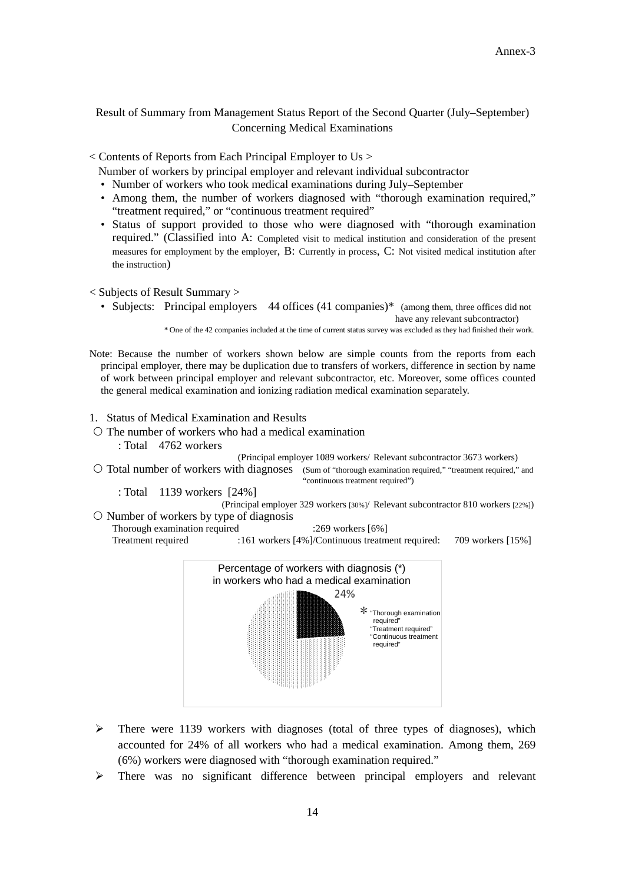### Result of Summary from Management Status Report of the Second Quarter (July–September) Concerning Medical Examinations

< Contents of Reports from Each Principal Employer to Us >

Number of workers by principal employer and relevant individual subcontractor

- Number of workers who took medical examinations during July–September
- Among them, the number of workers diagnosed with "thorough examination required," "treatment required," or "continuous treatment required"
- Status of support provided to those who were diagnosed with "thorough examination required." (Classified into A: Completed visit to medical institution and consideration of the present measures for employment by the employer, B: Currently in process, C: Not visited medical institution after the instruction)

< Subjects of Result Summary >

• Subjects: Principal employers 44 offices (41 companies)<sup>\*</sup> (among them, three offices did not have any relevant subcontractor)

\* One of the 42 companies included at the time of current status survey was excluded as they had finished their work.

- Note: Because the number of workers shown below are simple counts from the reports from each principal employer, there may be duplication due to transfers of workers, difference in section by name of work between principal employer and relevant subcontractor, etc. Moreover, some offices counted the general medical examination and ionizing radiation medical examination separately.
- 1. Status of Medical Examination and Results
- $\circ$  The number of workers who had a medical examination : Total 4762 workers

(Principal employer 1089 workers/ Relevant subcontractor 3673 workers)

O Total number of workers with diagnoses (Sum of "thorough examination required," "treatment required," and "continuous treatment required")

: Total 1139 workers [24%]

(Principal employer 329 workers [30%]/ Relevant subcontractor 810 workers [22%])  $\circ$  Number of workers by type of diagnosis

Thorough examination required :269 workers [6%]

Treatment required :161 workers [4%]/Continuous treatment required: 709 workers [15%]



- $\triangleright$  There were 1139 workers with diagnoses (total of three types of diagnoses), which accounted for 24% of all workers who had a medical examination. Among them, 269 (6%) workers were diagnosed with "thorough examination required."
- There was no significant difference between principal employers and relevant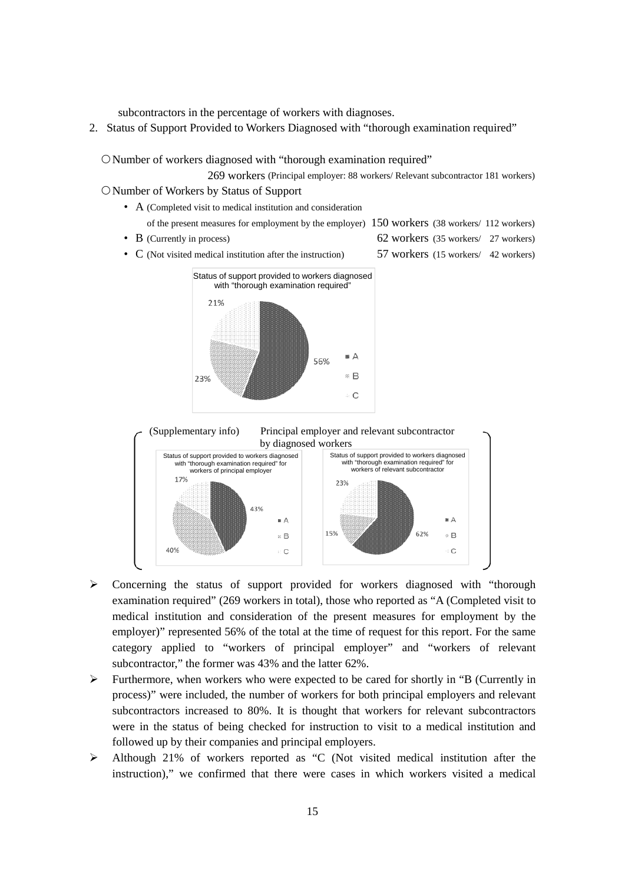subcontractors in the percentage of workers with diagnoses.

2. Status of Support Provided to Workers Diagnosed with "thorough examination required"

O Number of workers diagnosed with "thorough examination required"

269 workers (Principal employer: 88 workers/ Relevant subcontractor 181 workers)

- Number of Workers by Status of Support
	- A (Completed visit to medical institution and consideration
		- of the present measures for employment by the employer) 150 workers (38 workers/ 112 workers)
	-
	- B (Currently in process) 62 workers (35 workers / 27 workers)
	- C (Not visited medical institution after the instruction) 57 workers (15 workers/ 42 workers)
- 





- Concerning the status of support provided for workers diagnosed with "thorough examination required" (269 workers in total), those who reported as "A (Completed visit to medical institution and consideration of the present measures for employment by the employer)" represented 56% of the total at the time of request for this report. For the same category applied to "workers of principal employer" and "workers of relevant subcontractor," the former was 43% and the latter 62%.
- $\triangleright$  Furthermore, when workers who were expected to be cared for shortly in "B (Currently in process)" were included, the number of workers for both principal employers and relevant subcontractors increased to 80%. It is thought that workers for relevant subcontractors were in the status of being checked for instruction to visit to a medical institution and followed up by their companies and principal employers.
- Although 21% of workers reported as "C (Not visited medical institution after the instruction)," we confirmed that there were cases in which workers visited a medical